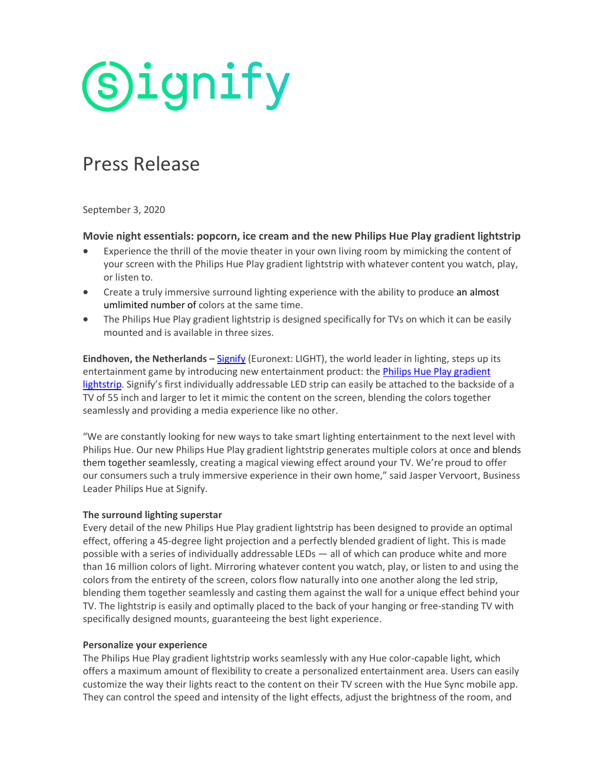# **Signify**

### Press Release

September 3, 2020

#### **Movie night essentials: popcorn, ice cream and the new Philips Hue Play gradient lightstrip**

- Experience the thrill of the movie theater in your own living room by mimicking the content of your screen with the Philips Hue Play gradient lightstrip with whatever content you watch, play, or listen to.
- Create a truly immersive surround lighting experience with the ability to produce an almost umlimited number of colors at the same time.
- The Philips Hue Play gradient lightstrip is designed specifically for TVs on which it can be easily mounted and is available in three sizes.

**Eindhoven, the Netherlands –** [Signify](https://www.signify.com/) (Euronext: LIGHT), the world leader in lighting, steps up its entertainment game by introducing new entertainment product: the *Philips Hue Play gradient* [lightstrip.](https://www.philips-hue.com/playgradientlightstrip) Signify's first individually addressable LED strip can easily be attached to the backside of a TV of 55 inch and larger to let it mimic the content on the screen, blending the colors together seamlessly and providing a media experience like no other.

"We are constantly looking for new ways to take smart lighting entertainment to the next level with Philips Hue. Our new Philips Hue Play gradient lightstrip generates multiple colors at once and blends them together seamlessly, creating a magical viewing effect around your TV. We're proud to offer our consumers such a truly immersive experience in their own home," said Jasper Vervoort, Business Leader Philips Hue at Signify.

#### **The surround lighting superstar**

Every detail of the new Philips Hue Play gradient lightstrip has been designed to provide an optimal effect, offering a 45-degree light projection and a perfectly blended gradient of light. This is made possible with a series of individually addressable LEDs — all of which can produce white and more than 16 million colors of light. Mirroring whatever content you watch, play, or listen to and using the colors from the entirety of the screen, colors flow naturally into one another along the led strip, blending them together seamlessly and casting them against the wall for a unique effect behind your TV. The lightstrip is easily and optimally placed to the back of your hanging or free-standing TV with specifically designed mounts, guaranteeing the best light experience.

#### **Personalize your experience**

The Philips Hue Play gradient lightstrip works seamlessly with any Hue color-capable light, which offers a maximum amount of flexibility to create a personalized entertainment area. Users can easily customize the way their lights react to the content on their TV screen with the Hue Sync mobile app. They can control the speed and intensity of the light effects, adjust the brightness of the room, and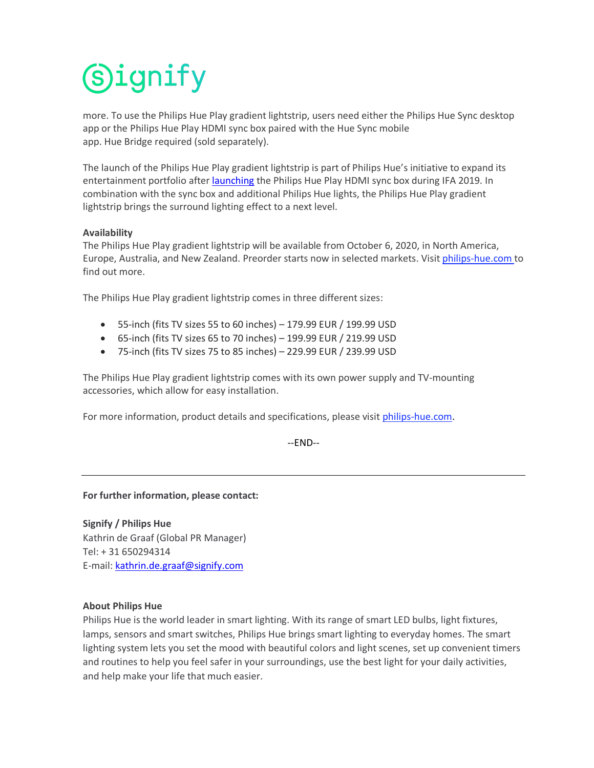## **Signify**

more. To use the Philips Hue Play gradient lightstrip, users need either the Philips Hue Sync desktop app or the Philips Hue Play HDMI sync box paired with the Hue Sync mobile app. Hue Bridge required (sold separately).

The launch of the Philips Hue Play gradient lightstrip is part of Philips Hue's initiative to expand its entertainment portfolio after [launching](https://www.signify.com/global/our-company/news/press-releases/2019/20190917-take-your-home-entertainment-to-the-next-level-with-the-philips-hue-play-hdmi-sync-box) the Philips Hue Play HDMI sync box during IFA 2019. In combination with the sync box and additional Philips Hue lights, the Philips Hue Play gradient lightstrip brings the surround lighting effect to a next level.

#### **Availability**

The Philips Hue Play gradient lightstrip will be available from October 6, 2020, in North America, Europe, Australia, and New Zealand. Preorder starts now in selected markets. Visit [philips-hue.com](http://www.meethue.com/syncbox) to find out more.

The Philips Hue Play gradient lightstrip comes in three different sizes:

- 55-inch (fits TV sizes 55 to 60 inches) 179.99 EUR / 199.99 USD
- $\bullet$  65-inch (fits TV sizes 65 to 70 inches) 199.99 EUR / 219.99 USD
- 75-inch (fits TV sizes 75 to 85 inches) 229.99 EUR / 239.99 USD

The Philips Hue Play gradient lightstrip comes with its own power supply and TV-mounting accessories, which allow for easy installation.

For more information, product details and specifications, please visit [philips-hue.com.](http://www.meethue.com/syncbox)

--END--

#### **For further information, please contact:**

**Signify / Philips Hue**  Kathrin de Graaf (Global PR Manager) Tel: + 31 650294314 E-mail: [kathrin.de.graaf@signify.com](mailto:Kathrin.de.graaf@signify.com)

#### **About Philips Hue**

Philips Hue is the world leader in smart lighting. With its range of smart LED bulbs, light fixtures, lamps, sensors and smart switches, Philips Hue brings smart lighting to everyday homes. The smart lighting system lets you set the mood with beautiful colors and light scenes, set up convenient timers and routines to help you feel safer in your surroundings, use the best light for your daily activities, and help make your life that much easier.